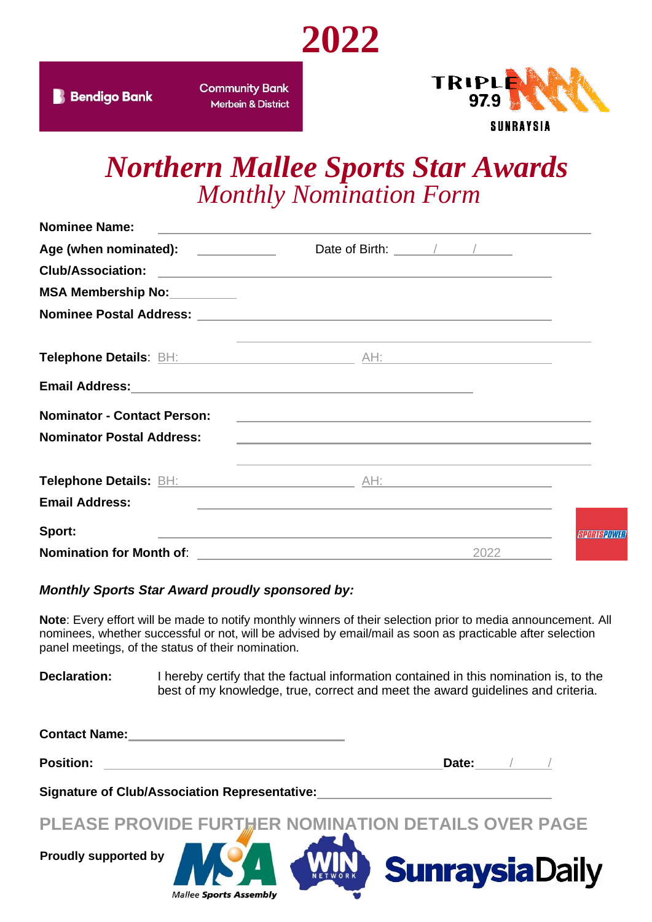

**Community Bank Merbein & District** 



## *Northern Mallee Sports Star Awards Monthly Nomination Form*

| <b>Nominee Name:</b>                          |                                                                                                                                                                                                                                                                                                                                                                                                                   |            |
|-----------------------------------------------|-------------------------------------------------------------------------------------------------------------------------------------------------------------------------------------------------------------------------------------------------------------------------------------------------------------------------------------------------------------------------------------------------------------------|------------|
| Age (when nominated): <u>________________</u> | Date of Birth: $\frac{1}{\sqrt{1-\frac{1}{2}}}\frac{1}{\sqrt{1-\frac{1}{2}}}\frac{1}{\sqrt{1-\frac{1}{2}}}\frac{1}{\sqrt{1-\frac{1}{2}}}\frac{1}{\sqrt{1-\frac{1}{2}}}\frac{1}{\sqrt{1-\frac{1}{2}}}\frac{1}{\sqrt{1-\frac{1}{2}}}\frac{1}{\sqrt{1-\frac{1}{2}}}\frac{1}{\sqrt{1-\frac{1}{2}}}\frac{1}{\sqrt{1-\frac{1}{2}}}\frac{1}{\sqrt{1-\frac{1}{2}}}\frac{1}{\sqrt{1-\frac{1}{2}}}\frac{1}{\sqrt{1-\frac{1$ |            |
|                                               |                                                                                                                                                                                                                                                                                                                                                                                                                   |            |
| MSA Membership No: _________                  |                                                                                                                                                                                                                                                                                                                                                                                                                   |            |
|                                               |                                                                                                                                                                                                                                                                                                                                                                                                                   |            |
|                                               | and the control of the control of the control of the control of the control of the control of the control of the<br>Telephone Details: BH: Altitude AH: AH: AH: Altitude AH: AH: Altitude Authority AH: Altitude AH: Altitude AH: Altitude AH: Altitude AH: Altitude AH: Altitude AH: Altitude AH: Altitude AH: Altitude AH: Altitude AH: Altitude                                                                |            |
|                                               |                                                                                                                                                                                                                                                                                                                                                                                                                   |            |
| <b>Nominator - Contact Person:</b>            |                                                                                                                                                                                                                                                                                                                                                                                                                   |            |
| <b>Nominator Postal Address:</b>              | the control of the control of the control of the control of the control of the control of the control of the control of the control of the control of the control of the control of the control of the control of the control                                                                                                                                                                                     |            |
|                                               | and the control of the control of the control of the control of the control of the control of the control of the<br>Telephone Details: BH: Altimate AH: AH: AH: Altimate AH: AH: Altimate Authority AH: Altimate AH: Altimate Authority AH: Altimate Authority AH: Altimate Authority AH: Altimate Authority AH: Altimate Authority AH: Altimate A                                                                |            |
| <b>Email Address:</b>                         | <u> 1989 - Johann Harry Harry Harry Harry Harry Harry Harry Harry Harry Harry Harry Harry Harry Harry Harry Harry H</u>                                                                                                                                                                                                                                                                                           |            |
| Sport:                                        | the control of the control of the control of the control of the control of the control of the control of the control of the control of the control of the control of the control of the control of the control of the control                                                                                                                                                                                     | SPORTSPOWE |
|                                               |                                                                                                                                                                                                                                                                                                                                                                                                                   | 2022       |

#### *Monthly Sports Star Award proudly sponsored by:*

**Mallee Sports Assembly** 

**Note**: Every effort will be made to notify monthly winners of their selection prior to media announcement. All nominees, whether successful or not, will be advised by email/mail as soon as practicable after selection panel meetings, of the status of their nomination.

**Declaration:** I hereby certify that the factual information contained in this nomination is, to the best of my knowledge, true, correct and meet the award guidelines and criteria.

| <b>Contact Name:</b>                                 |                       |
|------------------------------------------------------|-----------------------|
| <b>Position:</b>                                     | Date:                 |
| <b>Signature of Club/Association Representative:</b> |                       |
| PLEASE PROVIDE FURTHER NOMINATION DETAILS OVER PAGE  |                       |
| <b>Proudly supported by</b>                          | <b>SunraysiaDaily</b> |